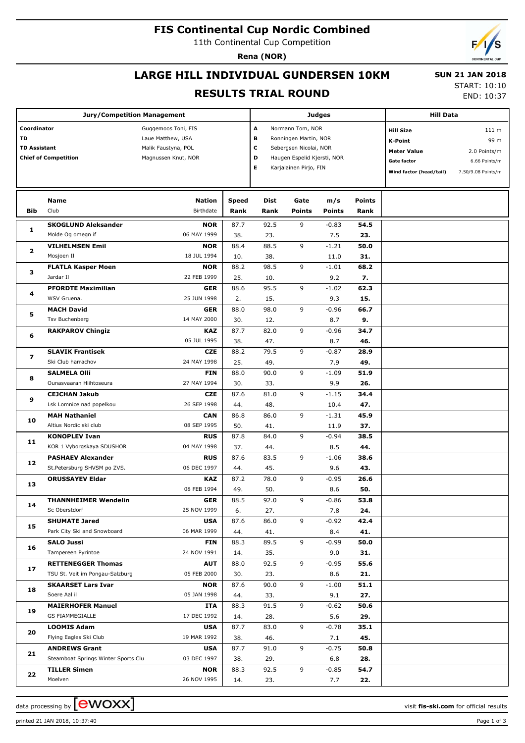# **FIS Continental Cup Nordic Combined**

11th Continental Cup Competition

**Rena (NOR)**

# **LARGE HILL INDIVIDUAL GUNDERSEN 10KM**

 **SUN 21 JAN 2018**

#### **RESULTS TRIAL ROUND**

START: 10:10

END: 10:37

|                                                                         | <b>Jury/Competition Management</b>                          |                                                                                        |             | Judges      |                                                                                                                                                       | <b>Hill Data</b> |             |                                                                                                    |                                                                      |
|-------------------------------------------------------------------------|-------------------------------------------------------------|----------------------------------------------------------------------------------------|-------------|-------------|-------------------------------------------------------------------------------------------------------------------------------------------------------|------------------|-------------|----------------------------------------------------------------------------------------------------|----------------------------------------------------------------------|
| Coordinator<br>TD<br><b>TD Assistant</b><br><b>Chief of Competition</b> |                                                             | Guggemoos Toni, FIS<br>Laue Matthew, USA<br>Malik Faustyna, POL<br>Magnussen Knut, NOR |             |             | A<br>Normann Tom, NOR<br>в<br>Ronningen Martin, NOR<br>с<br>Sebergsen Nicolai, NOR<br>D<br>Haugen Espelid Kjersti, NOR<br>Е<br>Karjalainen Pirjo, FIN |                  |             | <b>Hill Size</b><br>K-Point<br><b>Meter Value</b><br><b>Gate factor</b><br>Wind factor (head/tail) | 111 m<br>99 m<br>2.0 Points/m<br>6.66 Points/m<br>7.50/9.08 Points/m |
|                                                                         | Name                                                        | <b>Nation</b>                                                                          | Speed       | Dist        | Gate                                                                                                                                                  | m/s              | Points      |                                                                                                    |                                                                      |
| Bib                                                                     | Club                                                        | Birthdate                                                                              | Rank        | Rank        | <b>Points</b>                                                                                                                                         | <b>Points</b>    | Rank        |                                                                                                    |                                                                      |
|                                                                         | <b>SKOGLUND Aleksander</b>                                  | <b>NOR</b>                                                                             | 87.7        | 92.5        | 9                                                                                                                                                     | $-0.83$          | 54.5        |                                                                                                    |                                                                      |
| 1                                                                       | Molde Og omegn if                                           | 06 MAY 1999                                                                            | 38.         | 23.         |                                                                                                                                                       | 7.5              | 23.         |                                                                                                    |                                                                      |
| 2                                                                       | <b>VILHELMSEN Emil</b>                                      | <b>NOR</b>                                                                             | 88.4        | 88.5        | 9                                                                                                                                                     | $-1.21$          | 50.0        |                                                                                                    |                                                                      |
|                                                                         | Mosjoen Il                                                  | 18 JUL 1994                                                                            | 10.         | 38.         |                                                                                                                                                       | 11.0             | 31.         |                                                                                                    |                                                                      |
| з                                                                       | <b>FLATLA Kasper Moen</b>                                   | <b>NOR</b>                                                                             | 88.2        | 98.5        | 9                                                                                                                                                     | $-1.01$          | 68.2        |                                                                                                    |                                                                      |
|                                                                         | Jardar II                                                   | 22 FEB 1999                                                                            | 25.         | 10.         |                                                                                                                                                       | 9.2              | 7.          |                                                                                                    |                                                                      |
| 4                                                                       | <b>PFORDTE Maximilian</b>                                   | <b>GER</b>                                                                             | 88.6        | 95.5        | 9                                                                                                                                                     | $-1.02$          | 62.3        |                                                                                                    |                                                                      |
|                                                                         | WSV Gruena.                                                 | 25 JUN 1998                                                                            | 2.          | 15.         |                                                                                                                                                       | 9.3              | 15.         |                                                                                                    |                                                                      |
| 5                                                                       | <b>MACH David</b>                                           | <b>GER</b>                                                                             | 88.0        | 98.0        | 9                                                                                                                                                     | $-0.96$          | 66.7        |                                                                                                    |                                                                      |
|                                                                         | <b>Tsv Buchenberg</b>                                       | 14 MAY 2000                                                                            | 30.         | 12.         |                                                                                                                                                       | 8.7              | 9.          |                                                                                                    |                                                                      |
| 6                                                                       | <b>RAKPAROV Chingiz</b>                                     | KAZ                                                                                    | 87.7        | 82.0        | 9                                                                                                                                                     | $-0.96$          | 34.7        |                                                                                                    |                                                                      |
|                                                                         |                                                             | 05 JUL 1995                                                                            | 38.         | 47.         |                                                                                                                                                       | 8.7              | 46.         |                                                                                                    |                                                                      |
| 7                                                                       | <b>SLAVIK Frantisek</b>                                     | <b>CZE</b>                                                                             | 88.2        | 79.5        | 9                                                                                                                                                     | $-0.87$          | 28.9        |                                                                                                    |                                                                      |
|                                                                         | Ski Club harrachov                                          | 24 MAY 1998                                                                            | 25.         | 49.         |                                                                                                                                                       | 7.9              | 49.         |                                                                                                    |                                                                      |
| 8                                                                       | <b>SALMELA Olli</b>                                         | <b>FIN</b>                                                                             | 88.0        | 90.0        | 9                                                                                                                                                     | $-1.09$          | 51.9        |                                                                                                    |                                                                      |
|                                                                         | Ounasvaaran Hiihtoseura                                     | 27 MAY 1994                                                                            | 30.         | 33.         |                                                                                                                                                       | 9.9              | 26.         |                                                                                                    |                                                                      |
| 9                                                                       | <b>CEJCHAN Jakub</b>                                        | <b>CZE</b>                                                                             | 87.6        | 81.0        | 9                                                                                                                                                     | $-1.15$          | 34.4        |                                                                                                    |                                                                      |
|                                                                         | Lsk Lomnice nad popelkou                                    | 26 SEP 1998                                                                            | 44.         | 48.         |                                                                                                                                                       | 10.4             | 47.         |                                                                                                    |                                                                      |
| 10                                                                      | <b>MAH Nathaniel</b>                                        | <b>CAN</b>                                                                             | 86.8        | 86.0        | 9                                                                                                                                                     | $-1.31$          | 45.9        |                                                                                                    |                                                                      |
|                                                                         | Altius Nordic ski club                                      | 08 SEP 1995                                                                            | 50.         | 41.         |                                                                                                                                                       | 11.9             | 37.         |                                                                                                    |                                                                      |
| 11                                                                      | <b>KONOPLEV Ivan</b>                                        | <b>RUS</b>                                                                             | 87.8        | 84.0        | 9                                                                                                                                                     | $-0.94$          | 38.5        |                                                                                                    |                                                                      |
|                                                                         | KOR 1 Vyborgskaya SDUSHOR                                   | 04 MAY 1998                                                                            | 37.         | 44.         |                                                                                                                                                       | 8.5              | 44.         |                                                                                                    |                                                                      |
| 12                                                                      | <b>PASHAEV Alexander</b>                                    | <b>RUS</b>                                                                             | 87.6        | 83.5        | 9                                                                                                                                                     | $-1.06$          | 38.6        |                                                                                                    |                                                                      |
|                                                                         | St.Petersburg SHVSM po ZVS.                                 | 06 DEC 1997                                                                            | 44.         | 45.         |                                                                                                                                                       | 9.6              | 43.         |                                                                                                    |                                                                      |
| 13                                                                      | <b>ORUSSAYEV Eldar</b>                                      | KAZ                                                                                    | 87.2        | 78.0        | 9                                                                                                                                                     | $-0.95$          | 26.6        |                                                                                                    |                                                                      |
|                                                                         |                                                             | 08 FEB 1994                                                                            | 49.         | 50.         |                                                                                                                                                       | 8.6              | 50.         |                                                                                                    |                                                                      |
| 14                                                                      | <b>THANNHEIMER Wendelin</b>                                 | <b>GER</b>                                                                             | 88.5        | 92.0        | 9                                                                                                                                                     | $-0.86$          | 53.8        |                                                                                                    |                                                                      |
|                                                                         | Sc Oberstdorf                                               | 25 NOV 1999                                                                            | 6.          | 27.         |                                                                                                                                                       | 7.8              | 24.         |                                                                                                    |                                                                      |
| 15                                                                      | <b>SHUMATE Jared</b>                                        | <b>USA</b>                                                                             | 87.6        | 86.0        | 9                                                                                                                                                     | $-0.92$          | 42.4        |                                                                                                    |                                                                      |
|                                                                         | Park City Ski and Snowboard                                 | 06 MAR 1999                                                                            | 44.         | 41.         |                                                                                                                                                       | 8.4              | 41.         |                                                                                                    |                                                                      |
| 16                                                                      | <b>SALO Jussi</b>                                           | FIN                                                                                    | 88.3        | 89.5        | 9                                                                                                                                                     | $-0.99$          | 50.0        |                                                                                                    |                                                                      |
|                                                                         | Tampereen Pyrintoe                                          | 24 NOV 1991                                                                            | 14.         | 35.         |                                                                                                                                                       | 9.0              | 31.         |                                                                                                    |                                                                      |
| 17                                                                      | <b>RETTENEGGER Thomas</b>                                   | <b>AUT</b>                                                                             | 88.0        | 92.5        | 9                                                                                                                                                     | $-0.95$          | 55.6        |                                                                                                    |                                                                      |
|                                                                         | TSU St. Veit im Pongau-Salzburg                             | 05 FEB 2000                                                                            | 30.         | 23.         |                                                                                                                                                       | 8.6              | 21.         |                                                                                                    |                                                                      |
| 18                                                                      | <b>SKAARSET Lars Ivar</b>                                   | <b>NOR</b>                                                                             | 87.6        | 90.0        | 9                                                                                                                                                     | $-1.00$          | 51.1        |                                                                                                    |                                                                      |
|                                                                         | Soere Aal il                                                | 05 JAN 1998                                                                            | 44.         | 33.         |                                                                                                                                                       | 9.1              | 27.         |                                                                                                    |                                                                      |
| 19                                                                      | <b>MAIERHOFER Manuel</b>                                    | ITA                                                                                    | 88.3        | 91.5        | 9                                                                                                                                                     | $-0.62$          | 50.6        |                                                                                                    |                                                                      |
|                                                                         | GS FIAMMEGIALLE                                             | 17 DEC 1992                                                                            | 14.         | 28.         |                                                                                                                                                       | 5.6              | 29.         |                                                                                                    |                                                                      |
| 20                                                                      | <b>LOOMIS Adam</b>                                          | <b>USA</b>                                                                             | 87.7        | 83.0        | 9                                                                                                                                                     | $-0.78$          | 35.1        |                                                                                                    |                                                                      |
|                                                                         | Flying Eagles Ski Club                                      | 19 MAR 1992                                                                            | 38.         | 46.         | 9                                                                                                                                                     | 7.1              | 45.         |                                                                                                    |                                                                      |
| 21                                                                      | <b>ANDREWS Grant</b><br>Steamboat Springs Winter Sports Clu | <b>USA</b><br>03 DEC 1997                                                              | 87.7        | 91.0        |                                                                                                                                                       | $-0.75$          | 50.8        |                                                                                                    |                                                                      |
|                                                                         |                                                             |                                                                                        | 38.<br>88.3 | 29.<br>92.5 | 9                                                                                                                                                     | 6.8<br>$-0.85$   | 28.<br>54.7 |                                                                                                    |                                                                      |
| 22                                                                      | <b>TILLER Simen</b><br>Moelven                              | <b>NOR</b><br>26 NOV 1995                                                              | 14.         | 23.         |                                                                                                                                                       | 7.7              | 22.         |                                                                                                    |                                                                      |
|                                                                         |                                                             |                                                                                        |             |             |                                                                                                                                                       |                  |             |                                                                                                    |                                                                      |

data processing by **CWOXX** and  $\overline{C}$  and  $\overline{C}$  and  $\overline{C}$  and  $\overline{C}$  and  $\overline{C}$  and  $\overline{C}$  and  $\overline{C}$  and  $\overline{C}$  and  $\overline{C}$  and  $\overline{C}$  and  $\overline{C}$  and  $\overline{C}$  and  $\overline{C}$  and  $\overline{C}$  and  $\overline{C}$ 

printed 21 JAN 2018, 10:37:40 Page 1 of 3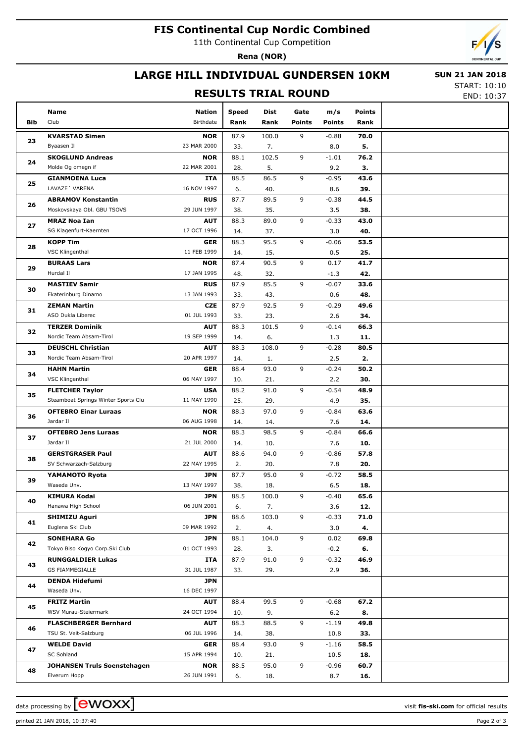# **FIS Continental Cup Nordic Combined**

11th Continental Cup Competition

**Rena (NOR)**

### **LARGE HILL INDIVIDUAL GUNDERSEN 10KM**

#### **RESULTS TRIAL ROUND**

 **SUN 21 JAN 2018** START: 10:10

END: 10:37

|     | Name                                | <b>Nation</b> | <b>Speed</b> | Dist  | Gate          | m/s           | <b>Points</b> |  |
|-----|-------------------------------------|---------------|--------------|-------|---------------|---------------|---------------|--|
| Bib | Club                                | Birthdate     | Rank         | Rank  | <b>Points</b> | <b>Points</b> | Rank          |  |
|     | <b>KVARSTAD Simen</b>               | <b>NOR</b>    | 87.9         | 100.0 | 9             | $-0.88$       | 70.0          |  |
| 23  | Byaasen Il                          | 23 MAR 2000   | 33.          | 7.    |               | 8.0           | 5.            |  |
|     | <b>SKOGLUND Andreas</b>             | <b>NOR</b>    | 88.1         | 102.5 | 9             | $-1.01$       | 76.2          |  |
| 24  | Molde Og omegn if                   | 22 MAR 2001   | 28.          | 5.    |               | 9.2           | з.            |  |
|     | <b>GIANMOENA Luca</b>               | <b>ITA</b>    | 88.5         | 86.5  | 9             | $-0.95$       | 43.6          |  |
| 25  | LAVAZE 'VARENA                      | 16 NOV 1997   | 6.           | 40.   |               | 8.6           | 39.           |  |
|     | <b>ABRAMOV Konstantin</b>           | <b>RUS</b>    | 87.7         | 89.5  | 9             | $-0.38$       | 44.5          |  |
| 26  | Moskovskaya Obl. GBU TSOVS          | 29 JUN 1997   | 38.          | 35.   |               | 3.5           | 38.           |  |
|     | <b>MRAZ Noa Ian</b>                 | <b>AUT</b>    | 88.3         | 89.0  | 9             | $-0.33$       | 43.0          |  |
| 27  | SG Klagenfurt-Kaernten              | 17 OCT 1996   | 14.          | 37.   |               | 3.0           | 40.           |  |
|     | <b>KOPP Tim</b>                     | <b>GER</b>    | 88.3         | 95.5  | 9             | $-0.06$       | 53.5          |  |
| 28  | VSC Klingenthal                     | 11 FEB 1999   | 14.          | 15.   |               | 0.5           | 25.           |  |
|     | <b>BURAAS Lars</b>                  | <b>NOR</b>    | 87.4         | 90.5  | 9             | 0.17          | 41.7          |  |
| 29  | Hurdal II                           | 17 JAN 1995   | 48.          | 32.   |               | $-1.3$        | 42.           |  |
|     | <b>MASTIEV Samir</b>                | <b>RUS</b>    | 87.9         | 85.5  | 9             | $-0.07$       | 33.6          |  |
| 30  | Ekaterinburg Dinamo                 | 13 JAN 1993   | 33.          | 43.   |               | 0.6           | 48.           |  |
|     | <b>ZEMAN Martin</b>                 | <b>CZE</b>    | 87.9         | 92.5  | 9             | $-0.29$       | 49.6          |  |
| 31  | ASO Dukla Liberec                   | 01 JUL 1993   | 33.          | 23.   |               | 2.6           | 34.           |  |
|     | <b>TERZER Dominik</b>               | <b>AUT</b>    | 88.3         | 101.5 | 9             | $-0.14$       | 66.3          |  |
| 32  | Nordic Team Absam-Tirol             | 19 SEP 1999   | 14.          | 6.    |               | 1.3           | 11.           |  |
|     | <b>DEUSCHL Christian</b>            | <b>AUT</b>    | 88.3         | 108.0 | 9             | $-0.28$       | 80.5          |  |
| 33  | Nordic Team Absam-Tirol             | 20 APR 1997   | 14.          | 1.    |               | 2.5           | 2.            |  |
|     | <b>HAHN Martin</b>                  | <b>GER</b>    | 88.4         | 93.0  | 9             | $-0.24$       | 50.2          |  |
| 34  | VSC Klingenthal                     | 06 MAY 1997   | 10.          | 21.   |               | 2.2           | 30.           |  |
|     | <b>FLETCHER Taylor</b>              | <b>USA</b>    | 88.2         | 91.0  | 9             | $-0.54$       | 48.9          |  |
| 35  | Steamboat Springs Winter Sports Clu | 11 MAY 1990   | 25.          | 29.   |               | 4.9           | 35.           |  |
|     | <b>OFTEBRO Einar Luraas</b>         | <b>NOR</b>    | 88.3         | 97.0  | 9             | $-0.84$       | 63.6          |  |
| 36  | Jardar II                           | 06 AUG 1998   | 14.          | 14.   |               | 7.6           | 14.           |  |
|     | <b>OFTEBRO Jens Luraas</b>          | <b>NOR</b>    | 88.3         | 98.5  | 9             | $-0.84$       | 66.6          |  |
| 37  | Jardar II                           | 21 JUL 2000   | 14.          | 10.   |               | 7.6           | 10.           |  |
|     | <b>GERSTGRASER Paul</b>             | <b>AUT</b>    | 88.6         | 94.0  | 9             | $-0.86$       | 57.8          |  |
| 38  | SV Schwarzach-Salzburg              | 22 MAY 1995   | 2.           | 20.   |               | 7.8           | 20.           |  |
| 39  | YAMAMOTO Ryota                      | <b>JPN</b>    | 87.7         | 95.0  | 9             | $-0.72$       | 58.5          |  |
|     | Waseda Unv.                         | 13 MAY 1997   | 38.          | 18.   |               | 6.5           | 18.           |  |
| 40  | <b>KIMURA Kodai</b>                 | <b>JPN</b>    | 88.5         | 100.0 | 9             | $-0.40$       | 65.6          |  |
|     | Hanawa High School                  | 06 JUN 2001   | 6.           | 7.    |               | 3.6           | 12.           |  |
| 41  | SHIMIZU Aguri                       | <b>JPN</b>    | 88.6         | 103.0 | 9             | $-0.33$       | 71.0          |  |
|     | Euglena Ski Club                    | 09 MAR 1992   | 2.           | 4.    |               | 3.0           | 4.            |  |
| 42  | <b>SONEHARA Go</b>                  | <b>JPN</b>    | 88.1         | 104.0 | 9             | 0.02          | 69.8          |  |
|     | Tokyo Biso Kogyo Corp.Ski Club      | 01 OCT 1993   | 28.          | 3.    |               | $-0.2$        | 6.            |  |
| 43  | <b>RUNGGALDIER Lukas</b>            | ITA           | 87.9         | 91.0  | 9             | $-0.32$       | 46.9          |  |
|     | <b>GS FIAMMEGIALLE</b>              | 31 JUL 1987   | 33.          | 29.   |               | 2.9           | 36.           |  |
| 44  | <b>DENDA Hidefumi</b>               | <b>JPN</b>    |              |       |               |               |               |  |
|     | Waseda Unv.                         | 16 DEC 1997   |              |       |               |               |               |  |
| 45  | <b>FRITZ Martin</b>                 | <b>AUT</b>    | 88.4         | 99.5  | 9             | $-0.68$       | 67.2          |  |
|     | WSV Murau-Steiermark                | 24 OCT 1994   | 10.          | 9.    |               | 6.2           | 8.            |  |
| 46  | <b>FLASCHBERGER Bernhard</b>        | AUT           | 88.3         | 88.5  | 9             | $-1.19$       | 49.8          |  |
|     | TSU St. Veit-Salzburg               | 06 JUL 1996   | 14.          | 38.   |               | 10.8          | 33.           |  |
| 47  | <b>WELDE David</b>                  | <b>GER</b>    | 88.4         | 93.0  | 9             | $-1.16$       | 58.5          |  |
|     | SC Sohland                          | 15 APR 1994   | 10.          | 21.   |               | 10.5          | 18.           |  |
| 48  | JOHANSEN Truls Soenstehagen         | <b>NOR</b>    | 88.5         | 95.0  | 9             | $-0.96$       | 60.7          |  |
|     | Elverum Hopp                        | 26 JUN 1991   | 6.           | 18.   |               | 8.7           | 16.           |  |

data processing by **CWOXX**  $\blacksquare$ 

printed 21 JAN 2018, 10:37:40 Page 2 of 3